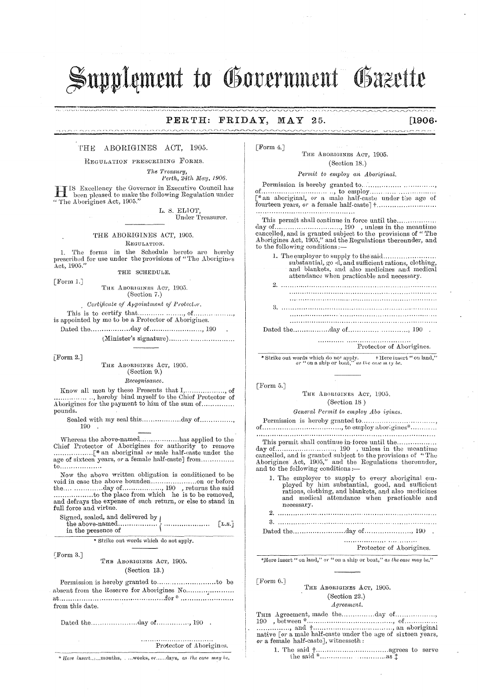# Supplement to Government Gazette

#### MAY 25.  $PERTH:$ FRIDAY,

## $[1906]$  $\overline{\phantom{a}}$

THE ABORIGINES ACT, 1905.

*<u>AABAARAHAARA</u>* 

REGULATION PRESCRIBING FORMS.

The Treasury, Perth, 24th May, 1906.

IS Excellency the Governor in Executive Council has been pleased to make the following Regulation under "The Aborigines Act, 1905."

L. S. ELIOT, Under Treasurer.

THE ABORIGINES ACT, 1905. REGULATION.

1. The forms in the Schedule hereto are hereby prescribed for use under the provisions of "The Aborigines Act, 1905."

THE SCHEDULE.

[Form  $1.]$ THE ABORIGINES ACT, 1905.  $(Section 7.)$ 

Certificate of Appointment of Protector.

[Form  $2.$ ]

THE ABORIGINES ACT, 1905. (Section 9.)  $Recognisance.$ 

Know all men by these Presents that I,.... ............ of Aborigines for the payment to him of the sum of............... pounds.

Sealed with my seal this.................day of............... 190

age of sixteen years, or a female half-caste] from.............. to...................

Now the above written obligation is conditioned to be and defrays the expense of such return, or else to stand in full force and virtue.

Signed, sealed, and delivered by  $|$ 

\* Strike out words which do not apply.

[Form 3.]

THE ABORIGINES ACT, 1905. (Section 13.)

absent from the Reserve for Aborigines No..................... from this date.

Dated the....................day of................, 190.

Protector of Aborigines.

\* Here insert.....months, ....weeks, or......days, as the case may be.

FForm 4.7

THE ABORIGINES ACT, 1905. (Section 18.)

aanniniaana

Permit to employ an Aboriginal.

of the contraction of the contract of the same of the same contract of the same state of the same of the same of the same of the same of the same of the same of the same of the same of the same of the same of the same of t 

This permit shall continue in force until the.......... day of the meantime cancelled, and is granted subject to the provisions of "The Aborigines Act, 1905," and the Regulations thereunder, and to the following conditions :-

1. The employer to supply to the said........... substantial, go d, and sufficient rations, clothing, and blankets, and also medicines and medical attendance when practicable and necessary.

Protector of Aborigines.

\* Strike out words which do not apply. <br>  $\begin{array}{c} \texttt{Here insert} \texttt{``on land,'}\quad \texttt{or} \texttt{''on land,'}\quad \texttt{or} \texttt{``on and}, \texttt{''on} \texttt{or} \texttt{``on bad,'}\quad \texttt{as the case } m \texttt{ty be}. \end{array}$ 

 $[$  Form 5. $]$ 

THE ABORIGINES ACT, 1905. (Section 18)

General Permit to employ Abo igines.

Permission is hereby granted to................... 

This permit shall continue in force until the................. and to the following conditions :-

1. The employer to supply to every aboriginal employed by him substantial, good, and sufficient rations, clothing, and blankets, and also medicines and medical attendance when practicable and necessary. 

Protector of Aborigines.

\*Here insert " on land," or " on a ship or boat," as the case may be."

[Form 6.]

#### THE ABORIGINES ACT, 1905. (Section 22.)

### $A greenent.$

THIS Agreement, made the..............day of................. or a female half-caste], witnesseth :